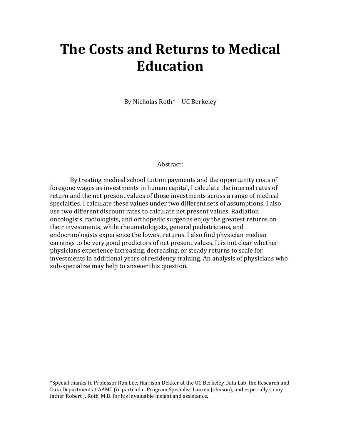# **The Costs and Returns to Medical Education**

By Nicholas Roth\* – UC Berkeley

#### Abstract:

By treating medical school tuition payments and the opportunity costs of foregone wages as investments in human capital, I calculate the internal rates of return and the net present values of those investments across a range of medical specialties. I calculate these values under two different sets of assumptions. I also use two different discount rates to calculate net present values. Radiation oncologists, radiologists, and orthopedic surgeons enjoy the greatest returns on their investments, while rheumatologists, general pediatricians, and endocrinologists experience the lowest returns. I also find physician median earnings to be very good predictors of net present values. It is not clear whether physicians experience increasing, decreasing, or steady returns to scale for investments in additional years of residency training. An analysis of physicians who sub-specialize may help to answer this question.

\*Special thanks to Professor Ron Lee, Harrison Dekker at the UC Berkeley Data Lab, the Research and Data Department at AAMC (in particular Program Specialist Lauren Johnson), and especially to my father Robert J. Roth, M.D. for his invaluable insight and assistance.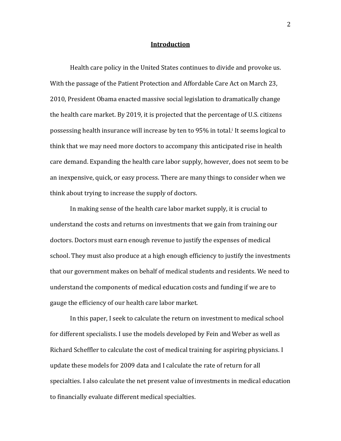#### **Introduction**

Health care policy in the United States continues to divide and provoke us. With the passage of the Patient Protection and Affordable Care Act on March 23, 2010, President Obama enacted massive social legislation to dramatically change the health care market. By 2019, it is projected that the percentage of U.S. citizens possessing health insurance will increase by ten to 95% in total.<sup>1</sup> It seems logical to think that we may need more doctors to accompany this anticipated rise in health care demand. Expanding the health care labor supply, however, does not seem to be an inexpensive, quick, or easy process. There are many things to consider when we think about trying to increase the supply of doctors.

In making sense of the health care labor market supply, it is crucial to understand the costs and returns on investments that we gain from training our that doctors. Doctors must earn enough revenue to justify the expenses of medical school. They must also produce at a high enough efficiency to justify the investments that our government makes on behalf of medical students and residents. We need to understand the components of medical education costs and funding if we are to gauge the efficiency of our health care labor market.

In this paper, I seek to calculate the return on investment to medical school for different specialists. I use the models developed by Fein and Weber as well as Richard Scheffler to calculate the cost of medical training for aspiring physicians. I update these models for 2009 data and I calculate the rate of return for all specialties. I also calculate the net present value of investments in medical education to financially evaluate different medical specialties.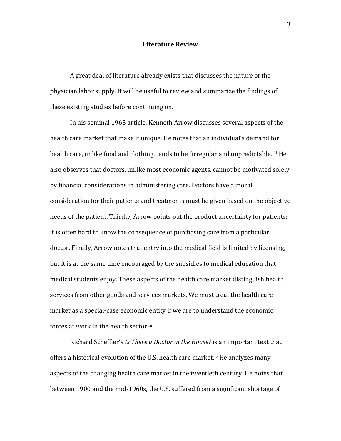#### **Literature\$Review**

A great deal of literature already exists that discusses the nature of the physician labor supply. It will be useful to review and summarize the findings of these existing studies before continuing on.

In his seminal 1963 article, Kenneth Arrow discusses several aspects of the health care market that make it unique. He notes that an individual's demand for health care, unlike food and clothing, tends to be "irregular and unpredictable." He also observes that doctors, unlike most economic agents, cannot be motivated solely by financial considerations in administering care. Doctors have a moral consideration for their patients and treatments must be given based on the objective needs of the patient. Thirdly, Arrow points out the product uncertainty for patients; it is often hard to know the consequence of purchasing care from a particular doctor. Finally, Arrow notes that entry into the medical field is limited by licensing, but it is at the same time encouraged by the subsidies to medical education that medical students enjoy. These aspects of the health care market distinguish health services from other goods and services markets. We must treat the health care market as a special-case economic entity if we are to understand the economic forces at work in the health sector.<sup>iii</sup>

Richard Scheffler's *Is There a Doctor in the House?* is an important text that offers a historical evolution of the U.S. health care market.<sup>iv</sup> He analyzes many aspects of the changing health care market in the twentieth century. He notes that between 1900 and the mid-1960s, the U.S. suffered from a significant shortage of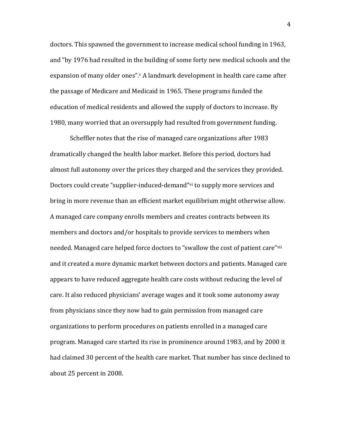doctors. This spawned the government to increase medical school funding in 1963, and "by 1976 had resulted in the building of some forty new medical schools and the expansion of many older ones".<sup>v</sup> A landmark development in health care came after the passage of Medicare and Medicaid in 1965. These programs funded the education of medical residents and allowed the supply of doctors to increase. By 1980, many worried that an oversupply had resulted from government funding.

Scheffler notes that the rise of managed care organizations after 1983 dramatically changed the health labor market. Before this period, doctors had almost full autonomy over the prices they charged and the services they provided. Doctors could create "supplier-induced-demand" vi to supply more services and bring in more revenue than an efficient market equilibrium might otherwise allow. A managed care company enrolls members and creates contracts between its members and doctors and/or hospitals to provide services to members when needed. Managed care helped force doctors to "swallow the cost of patient care"vii and it created a more dynamic market between doctors and patients. Managed care appears to have reduced aggregate health care costs without reducing the level of care. It also reduced physicians' average wages and it took some autonomy away from physicians since they now had to gain permission from managed care organizations to perform procedures on patients enrolled in a managed care program. Managed care started its rise in prominence around 1983, and by 2000 it had claimed 30 percent of the health care market. That number has since declined to about 25 percent in 2008.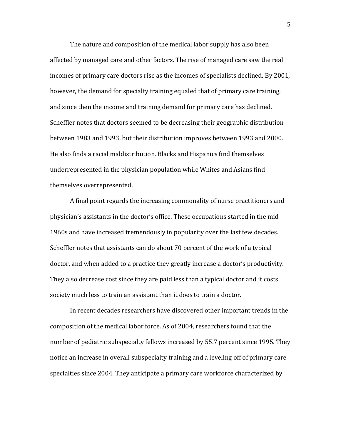The nature and composition of the medical labor supply has also been affected by managed care and other factors. The rise of managed care saw the real incomes of primary care doctors rise as the incomes of specialists declined. By 2001, however, the demand for specialty training equaled that of primary care training, and since then the income and training demand for primary care has declined. Scheffler notes that doctors seemed to be decreasing their geographic distribution between 1983 and 1993, but their distribution improves between 1993 and 2000. He also finds a racial maldistribution. Blacks and Hispanics find themselves underrepresented in the physician population while Whites and Asians find themselves overrepresented.

A final point regards the increasing commonality of nurse practitioners and physician's assistants in the doctor's office. These occupations started in the mid-1960s and have increased tremendously in popularity over the last few decades. Scheffler notes that assistants can do about 70 percent of the work of a typical doctor, and when added to a practice they greatly increase a doctor's productivity. They also decrease cost since they are paid less than a typical doctor and it costs society much less to train an assistant than it does to train a doctor.

In recent decades researchers have discovered other important trends in the composition of the medical labor force. As of 2004, researchers found that the number of pediatric subspecialty fellows increased by 55.7 percent since 1995. They notice an increase in overall subspecialty training and a leveling off of primary care specialties since 2004. They anticipate a primary care workforce characterized by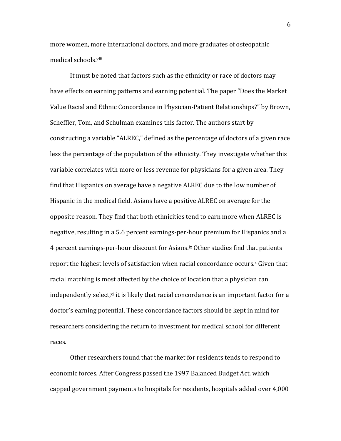more women, more international doctors, and more graduates of osteopathic medical schools. viii

It must be noted that factors such as the ethnicity or race of doctors may have effects on earning patterns and earning potential. The paper "Does the Market" Value Racial and Ethnic Concordance in Physician-Patient Relationships?" by Brown, Scheffler, Tom, and Schulman examines this factor. The authors start by constructing a variable "ALREC," defined as the percentage of doctors of a given race less the percentage of the population of the ethnicity. They investigate whether this variable correlates with more or less revenue for physicians for a given area. They find that Hispanics on average have a negative ALREC due to the low number of Hispanic in the medical field. Asians have a positive ALREC on average for the opposite reason. They find that both ethnicities tend to earn more when ALREC is negative, resulting in a 5.6 percent earnings-per-hour premium for Hispanics and a 4 percent earnings-per-hour discount for Asians.<sup>ix</sup> Other studies find that patients report the highest levels of satisfaction when racial concordance occurs.<sup>x</sup> Given that racial matching is most affected by the choice of location that a physician can independently select, $x$ i it is likely that racial concordance is an important factor for a doctor's earning potential. These concordance factors should be kept in mind for researchers considering the return to investment for medical school for different races.

Other researchers found that the market for residents tends to respond to economic forces. After Congress passed the 1997 Balanced Budget Act, which capped government payments to hospitals for residents, hospitals added over 4,000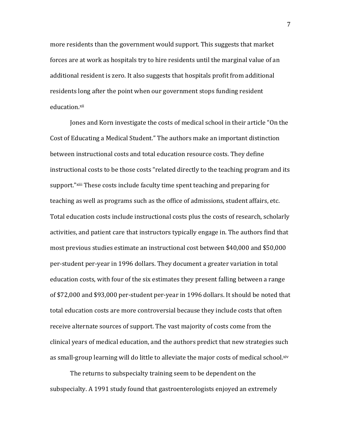more residents than the government would support. This suggests that market forces are at work as hospitals try to hire residents until the marginal value of an additional resident is zero. It also suggests that hospitals profit from additional residents long after the point when our government stops funding resident education.xii

Jones and Korn investigate the costs of medical school in their article "On the Cost of Educating a Medical Student." The authors make an important distinction between instructional costs and total education resource costs. They define instructional costs to be those costs "related directly to the teaching program and its support."<sup>xiii</sup> These costs include faculty time spent teaching and preparing for teaching as well as programs such as the office of admissions, student affairs, etc. Total education costs include instructional costs plus the costs of research, scholarly activities, and patient care that instructors typically engage in. The authors find that most previous studies estimate an instructional cost between \$40,000 and \$50,000 per-student per-year in 1996 dollars. They document a greater variation in total education costs, with four of the six estimates they present falling between a range of  $$72,000$  and  $$93,000$  per-student per-year in 1996 dollars. It should be noted that total education costs are more controversial because they include costs that often receive alternate sources of support. The vast majority of costs come from the clinical years of medical education, and the authors predict that new strategies such as small-group learning will do little to alleviate the major costs of medical school. xiv

The returns to subspecialty training seem to be dependent on the subspecialty. A 1991 study found that gastroenterologists enjoyed an extremely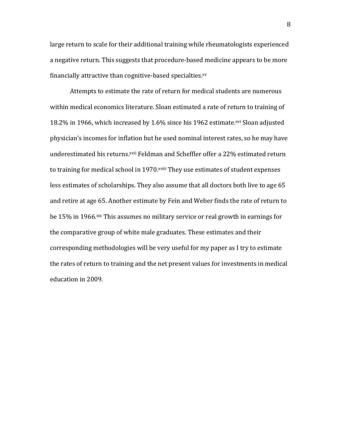large return to scale for their additional training while rheumatologists experienced a negative return. This suggests that procedure-based medicine appears to be more financially attractive than cognitive-based specialties.<sup>xv</sup>

Attempts to estimate the rate of return for medical students are numerous within medical economics literature. Sloan estimated a rate of return to training of 18.2% in 1966, which increased by 1.6% since his 1962 estimate.<sup>xvi</sup> Sloan adjusted physician's incomes for inflation but he used nominal interest rates, so he may have underestimated his returns. xvii Feldman and Scheffler offer a 22% estimated return to training for medical school in 1970. *xviii* They use estimates of student expenses less estimates of scholarships. They also assume that all doctors both live to age 65 and retire at age 65. Another estimate by Fein and Weber finds the rate of return to be 15% in 1966.<sup>xix</sup> This assumes no military service or real growth in earnings for the comparative group of white male graduates. These estimates and their corresponding methodologies will be very useful for my paper as I try to estimate the rates of return to training and the net present values for investments in medical education in 2009.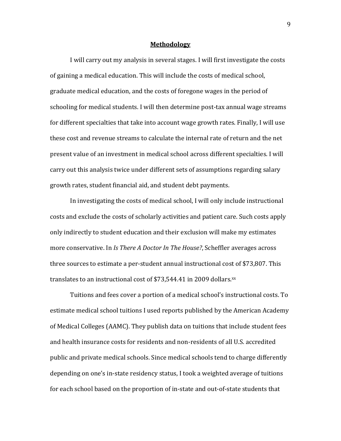#### **Methodology**

I will carry out my analysis in several stages. I will first investigate the costs of gaining a medical education. This will include the costs of medical school, graduate medical education, and the costs of foregone wages in the period of schooling for medical students. I will then determine post-tax annual wage streams for different specialties that take into account wage growth rates. Finally, I will use these cost and revenue streams to calculate the internal rate of return and the net present value of an investment in medical school across different specialties. I will carry out this analysis twice under different sets of assumptions regarding salary growth rates, student financial aid, and student debt payments.

In investigating the costs of medical school, I will only include instructional costs and exclude the costs of scholarly activities and patient care. Such costs apply only indirectly to student education and their exclusion will make my estimates more conservative. In *Is There A Doctor In The House?*, Scheffler averages across three sources to estimate a per-student annual instructional cost of \$73,807. This translates to an instructional cost of \$73,544.41 in 2009 dollars. $^{xx}$ 

Tuitions and fees cover a portion of a medical school's instructional costs. To estimate medical school tuitions I used reports published by the American Academy of Medical Colleges (AAMC). They publish data on tuitions that include student fees and health insurance costs for residents and non-residents of all U.S. accredited public and private medical schools. Since medical schools tend to charge differently depending on one's in-state residency status, I took a weighted average of tuitions for each school based on the proportion of in-state and out-of-state students that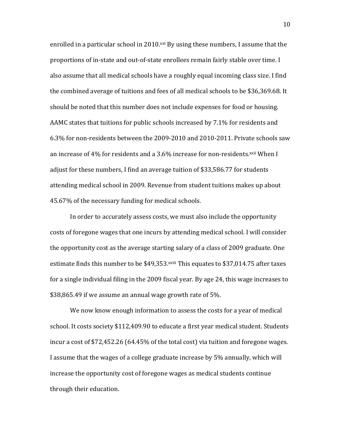enrolled in a particular school in 2010.<sup>xxi</sup> By using these numbers, I assume that the proportions of in-state and out-of-state enrollees remain fairly stable over time. I also assume that all medical schools have a roughly equal incoming class size. I find the combined average of tuitions and fees of all medical schools to be  $$36,369.68$ . It should be noted that this number does not include expenses for food or housing. AAMC states that tuitions for public schools increased by 7.1% for residents and 6.3% for non-residents between the 2009-2010 and 2010-2011. Private schools saw an increase of 4% for residents and a 3.6% increase for non-residents.<sup>xxii</sup> When I adjust for these numbers, I find an average tuition of \$33,586.77 for students attending medical school in 2009. Revenue from student tuitions makes up about 45.67% of the necessary funding for medical schools.

In order to accurately assess costs, we must also include the opportunity costs of foregone wages that one incurs by attending medical school. I will consider the opportunity cost as the average starting salary of a class of 2009 graduate. One estimate finds this number to be  $$49,353$ .  $xxiii}$  This equates to  $$37,014.75$  after taxes for a single individual filing in the 2009 fiscal year. By age 24, this wage increases to \$38,865.49 if we assume an annual wage growth rate of 5%.

We now know enough information to assess the costs for a year of medical school. It costs society \$112,409.90 to educate a first year medical student. Students incur a cost of  $$72,452.26$  (64.45% of the total cost) via tuition and foregone wages. I assume that the wages of a college graduate increase by 5% annually, which will increase the opportunity cost of foregone wages as medical students continue through their education.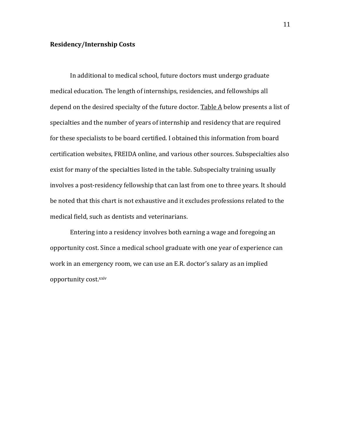#### **Residency/Internship\$Costs**

In additional to medical school, future doctors must undergo graduate medical education. The length of internships, residencies, and fellowships all depend on the desired specialty of the future doctor. Table  $\overline{A}$  below presents a list of specialties and the number of years of internship and residency that are required for these specialists to be board certified. I obtained this information from board certification websites, FREIDA online, and various other sources. Subspecialties also exist for many of the specialties listed in the table. Subspecialty training usually involves a post-residency fellowship that can last from one to three years. It should be noted that this chart is not exhaustive and it excludes professions related to the medical field, such as dentists and veterinarians.

Entering into a residency involves both earning a wage and foregoing an opportunity cost. Since a medical school graduate with one year of experience can work in an emergency room, we can use an E.R. doctor's salary as an implied opportunity cost.xxiv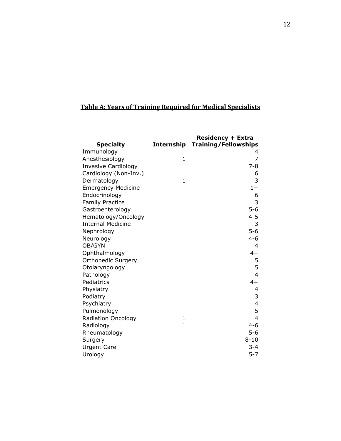## **Table A: Years of Training Required for Medical Specialists**

|                            |                | <b>Residency + Extra</b>    |
|----------------------------|----------------|-----------------------------|
| <b>Specialty</b>           | Internship     | <b>Training/Fellowships</b> |
| Immunology                 |                | 4                           |
| Anesthesiology             | $\mathbf{1}$   | 7                           |
| <b>Invasive Cardiology</b> |                | $7 - 8$                     |
| Cardiology (Non-Inv.)      |                | 6                           |
| Dermatology                | $\mathbf{1}$   | 3                           |
| <b>Emergency Medicine</b>  |                | $1+$                        |
| Endocrinology              |                | 6                           |
| <b>Family Practice</b>     |                | 3                           |
| Gastroenterology           |                | $5 - 6$                     |
| Hematology/Oncology        |                | $4 - 5$                     |
| <b>Internal Medicine</b>   |                | 3                           |
| Nephrology                 |                | $5 - 6$                     |
| Neurology                  |                | $4 - 6$                     |
| OB/GYN                     |                | 4                           |
| Ophthalmology              |                | $4+$                        |
| <b>Orthopedic Surgery</b>  |                | 5                           |
| Otolaryngology             |                | 5                           |
| Pathology                  |                | $\overline{4}$              |
| Pediatrics                 |                | $4+$                        |
| Physiatry                  |                | 4                           |
| Podiatry                   |                | 3                           |
| Psychiatry                 |                | $\overline{\mathbf{4}}$     |
| Pulmonology                |                | 5                           |
| <b>Radiation Oncology</b>  | 1              | $\overline{4}$              |
| Radiology                  | $\overline{1}$ | $4 - 6$                     |
| Rheumatology               |                | $5 - 6$                     |
| Surgery                    |                | $8 - 10$                    |
| <b>Urgent Care</b>         |                | $3 - 4$                     |
| Urology                    |                | $5 - 7$                     |
|                            |                |                             |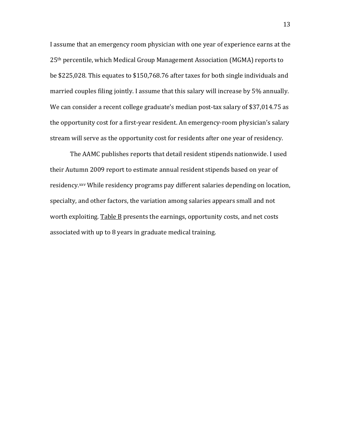I assume that an emergency room physician with one year of experience earns at the 25<sup>th</sup> percentile, which Medical Group Management Association (MGMA) reports to be \$225,028. This equates to \$150,768.76 after taxes for both single individuals and married couples filing jointly. I assume that this salary will increase by 5% annually. We can consider a recent college graduate's median post-tax salary of \$37,014.75 as the opportunity cost for a first-year resident. An emergency-room physician's salary stream will serve as the opportunity cost for residents after one year of residency.

The AAMC publishes reports that detail resident stipends nationwide. I used their Autumn 2009 report to estimate annual resident stipends based on year of residency.<sup>xxv</sup> While residency programs pay different salaries depending on location, specialty, and other factors, the variation among salaries appears small and not worth exploiting. Table B presents the earnings, opportunity costs, and net costs associated with up to 8 years in graduate medical training.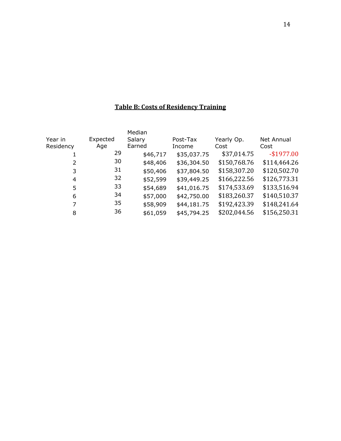### **Table B: Costs of Residency Training**

|           |          | Median   |             |              |              |
|-----------|----------|----------|-------------|--------------|--------------|
| Year in   | Expected | Salary   | Post-Tax    | Yearly Op.   | Net Annual   |
| Residency | Age      | Earned   | Income      | Cost         | Cost         |
|           | 29       | \$46,717 | \$35,037.75 | \$37,014.75  | $-$1977.00$  |
| 2         | 30       | \$48,406 | \$36,304.50 | \$150,768.76 | \$114,464.26 |
| 3         | 31       | \$50,406 | \$37,804.50 | \$158,307.20 | \$120,502.70 |
| 4         | 32       | \$52,599 | \$39,449.25 | \$166,222.56 | \$126,773.31 |
| 5         | 33       | \$54,689 | \$41,016.75 | \$174,533.69 | \$133,516.94 |
| 6         | 34       | \$57,000 | \$42,750.00 | \$183,260.37 | \$140,510.37 |
| 7         | 35       | \$58,909 | \$44,181.75 | \$192,423.39 | \$148,241.64 |
| 8         | 36       | \$61,059 | \$45,794.25 | \$202,044.56 | \$156,250.31 |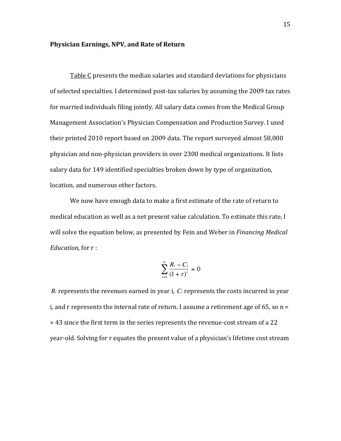#### **Physician Earnings, NPV, and Rate of Return**

Table C presents the median salaries and standard deviations for physicians of selected specialties. I determined post-tax salaries by assuming the 2009 tax rates for married individuals filing jointly. All salary data comes from the Medical Group Management Association's Physician Compensation and Production Survey. I used their printed 2010 report based on 2009 data. The report surveyed almost 58,000 physician and non-physician providers in over 2300 medical organizations. It lists salary data for 149 identified specialties broken down by type of organization, location, and numerous other factors.

We now have enough data to make a first estimate of the rate of return to medical education as well as a net present value calculation. To estimate this rate, I will solve the equation below, as presented by Fein and Weber in *Financing Medical Education*, for r:

$$
\sum_{i=1}^{n} \frac{R_i - C_i}{(1+r)^i} = 0
$$

i, and r represents the internal rate of return. I assume a retirement age of 65, so  $n = 1$  $R_i$  represents the revenues earned in year i,  $C_i$  represents the costs incurred in year  $=$  43 since the first term in the series represents the revenue-cost stream of a 22 year-old. Solving for r equates the present value of a physician's lifetime cost stream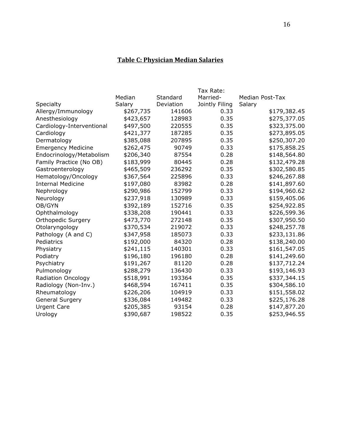### **Table C: Physician Median Salaries**

| Tax Rate: |           |                |                        |
|-----------|-----------|----------------|------------------------|
| Median    | Standard  | Married-       | <b>Median Post-Tax</b> |
| Salary    | Deviation | Jointly Filing | Salary                 |
| \$267,735 | 141606    | 0.33           | \$179,382.45           |
| \$423,657 | 128983    | 0.35           | \$275,377.05           |
| \$497,500 | 220555    | 0.35           | \$323,375.00           |
| \$421,377 | 187285    | 0.35           | \$273,895.05           |
| \$385,088 | 207895    | 0.35           | \$250,307.20           |
| \$262,475 | 90749     | 0.33           | \$175,858.25           |
| \$206,340 | 87554     | 0.28           | \$148,564.80           |
| \$183,999 | 80445     | 0.28           | \$132,479.28           |
| \$465,509 | 236292    | 0.35           | \$302,580.85           |
| \$367,564 | 225896    | 0.33           | \$246,267.88           |
| \$197,080 | 83982     | 0.28           | \$141,897.60           |
| \$290,986 | 152799    | 0.33           | \$194,960.62           |
| \$237,918 | 130989    | 0.33           | \$159,405.06           |
| \$392,189 | 152716    | 0.35           | \$254,922.85           |
| \$338,208 | 190441    | 0.33           | \$226,599.36           |
| \$473,770 | 272148    |                | \$307,950.50           |
| \$370,534 | 219072    | 0.33           | \$248,257.78           |
| \$347,958 | 185073    | 0.33           | \$233,131.86           |
| \$192,000 | 84320     | 0.28           | \$138,240.00           |
| \$241,115 | 140301    | 0.33           | \$161,547.05           |
| \$196,180 | 196180    | 0.28           | \$141,249.60           |
| \$191,267 | 81120     | 0.28           | \$137,712.24           |
| \$288,279 | 136430    | 0.33           | \$193,146.93           |
| \$518,991 | 193364    | 0.35           | \$337,344.15           |
| \$468,594 | 167411    | 0.35           | \$304,586.10           |
| \$226,206 | 104919    | 0.33           | \$151,558.02           |
| \$336,084 | 149482    | 0.33           | \$225,176.28           |
| \$205,385 | 93154     | 0.28           | \$147,877.20           |
| \$390,687 | 198522    | 0.35           | \$253,946.55           |
|           |           |                | 0.35                   |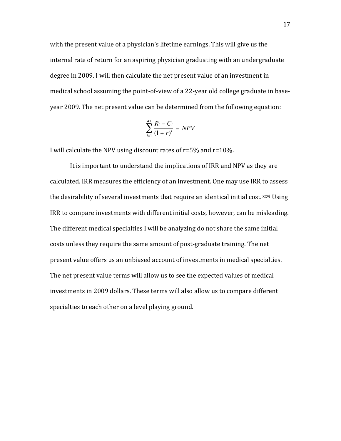with the present value of a physician's lifetime earnings. This will give us the internal rate of return for an aspiring physician graduating with an undergraduate degree in 2009. I will then calculate the net present value of an investment in medical school assuming the point-of-view of a 22-year old college graduate in baseyear 2009. The net present value can be determined from the following equation:

$$
\sum_{i=1}^{43} \frac{R_i - C_i}{(1+r)^i} = NPV
$$

I will calculate the NPV using discount rates of  $r=5%$  and  $r=10%$ .

It is important to understand the implications of IRR and NPV as they are calculated. IRR measures the efficiency of an investment. One may use IRR to assess the desirability of several investments that require an identical initial cost. xxvi Using IRR to compare investments with different initial costs, however, can be misleading. The different medical specialties I will be analyzing do not share the same initial costs unless they require the same amount of post-graduate training. The net present value offers us an unbiased account of investments in medical specialties. The net present value terms will allow us to see the expected values of medical investments in 2009 dollars. These terms will also allow us to compare different specialties to each other on a level playing ground.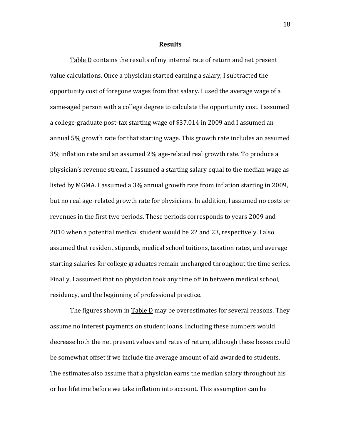#### **Results**

Table D contains the results of my internal rate of return and net present value calculations. Once a physician started earning a salary, I subtracted the opportunity cost of foregone wages from that salary. I used the average wage of a same-aged person with a college degree to calculate the opportunity cost. I assumed a college-graduate post-tax starting wage of \$37,014 in 2009 and I assumed an annual  $5\%$  growth rate for that starting wage. This growth rate includes an assumed 3% inflation rate and an assumed 2% age-related real growth rate. To produce a physician's revenue stream, I assumed a starting salary equal to the median wage as listed by MGMA. I assumed a 3% annual growth rate from inflation starting in 2009, but no real age-related growth rate for physicians. In addition, I assumed no costs or revenues in the first two periods. These periods corresponds to years 2009 and 2010 when a potential medical student would be 22 and 23, respectively. I also assumed that resident stipends, medical school tuitions, taxation rates, and average starting salaries for college graduates remain unchanged throughout the time series. Finally, I assumed that no physician took any time off in between medical school, residency, and the beginning of professional practice.

The figures shown in  $Table D$  may be overestimates for several reasons. They assume no interest payments on student loans. Including these numbers would decrease both the net present values and rates of return, although these losses could be somewhat offset if we include the average amount of aid awarded to students. The estimates also assume that a physician earns the median salary throughout his or her lifetime before we take inflation into account. This assumption can be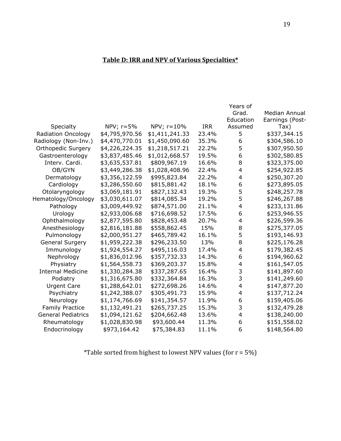### **Table D: IRR and NPV of Various Specialties\***

|                           |                |                |            | Years of                |                 |
|---------------------------|----------------|----------------|------------|-------------------------|-----------------|
|                           |                |                |            | Grad.                   | Median Annual   |
|                           |                |                |            | Education               | Earnings (Post- |
| Specialty                 | NPV; $r=5%$    | $NPV; r=10%$   | <b>IRR</b> | Assumed                 | Tax)            |
| Radiation Oncology        | \$4,795,970.56 | \$1,411,241.33 | 23.4%      | 5                       | \$337,344.15    |
| Radiology (Non-Inv.)      | \$4,470,770.01 | \$1,450,090.60 | 35.3%      | 6                       | \$304,586.10    |
| <b>Orthopedic Surgery</b> | \$4,226,224.35 | \$1,218,517.21 | 22.2%      | 5                       | \$307,950.50    |
| Gastroenterology          | \$3,837,485.46 | \$1,012,668.57 | 19.5%      | 6                       | \$302,580.85    |
| Interv. Cardi.            | \$3,635,537.81 | \$809,967.19   | 16.6%      | 8                       | \$323,375.00    |
| OB/GYN                    | \$3,449,286.38 | \$1,028,408.96 | 22.4%      | $\overline{4}$          | \$254,922.85    |
| Dermatology               | \$3,356,122.59 | \$995,823.84   | 22.2%      | 4                       | \$250,307.20    |
| Cardiology                | \$3,286,550.60 | \$815,881.42   | 18.1%      | 6                       | \$273,895.05    |
| Otolaryngology            | \$3,069,181.91 | \$827,132.43   | 19.3%      | 5                       | \$248,257.78    |
| Hematology/Oncology       | \$3,030,611.07 | \$814,085.34   | 19.2%      | 5                       | \$246,267.88    |
| Pathology                 | \$3,009,449.92 | \$874,571.00   | 21.1%      | $\overline{\mathbf{4}}$ | \$233,131.86    |
| Urology                   | \$2,933,006.68 | \$716,698.52   | 17.5%      | 6                       | \$253,946.55    |
| Ophthalmology             | \$2,877,595.80 | \$828,453.48   | 20.7%      | 4                       | \$226,599.36    |
| Anesthesiology            | \$2,816,181.88 | \$558,862.45   | 15%        | 8                       | \$275,377.05    |
| Pulmonology               | \$2,000,951.27 | \$465,789.42   | 16.1%      | 5                       | \$193,146.93    |
| <b>General Surgery</b>    | \$1,959,222.38 | \$296,233.50   | 13%        | 8                       | \$225,176.28    |
| Immunology                | \$1,924,554.27 | \$495,116.03   | 17.4%      | 4                       | \$179,382.45    |
| Nephrology                | \$1,836,012.96 | \$357,732.33   | 14.3%      | 6                       | \$194,960.62    |
| Physiatry                 | \$1,564,558.73 | \$369,203.37   | 15.8%      | 4                       | \$161,547.05    |
| <b>Internal Medicine</b>  | \$1,330,284.38 | \$337,287.65   | 16.4%      | 3                       | \$141,897.60    |
| Podiatry                  | \$1,316,675.80 | \$332,364.84   | 16.3%      | 3                       | \$141,249.60    |
| <b>Urgent Care</b>        | \$1,288,642.01 | \$272,698.26   | 14.6%      | $\overline{\mathbf{4}}$ | \$147,877.20    |
| Psychiatry                | \$1,242,388.07 | \$305,491.73   | 15.9%      | 4                       | \$137,712.24    |
| Neurology                 | \$1,174,766.69 | \$141,354.57   | 11.9%      | 6                       | \$159,405.06    |
| <b>Family Practice</b>    | \$1,132,491.21 | \$265,737.25   | 15.3%      | 3                       | \$132,479.28    |
| <b>General Pediatrics</b> | \$1,094,121.62 | \$204,662.48   | 13.6%      | 4                       | \$138,240.00    |
| Rheumatology              | \$1,028,830.98 | \$93,600.44    | 11.3%      | 6                       | \$151,558.02    |
| Endocrinology             | \$973,164.42   | \$75,384.83    | 11.1%      | 6                       | \$148,564.80    |

\*Table sorted from highest to lowest NPV values (for  $r = 5\%$ )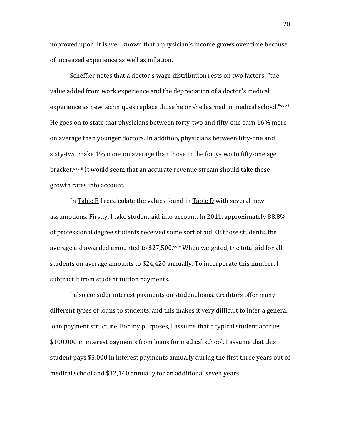improved upon. It is well known that a physician's income grows over time because of increased experience as well as inflation.

Scheffler notes that a doctor's wage distribution rests on two factors: "the value added from work experience and the depreciation of a doctor's medical experience as new techniques replace those he or she learned in medical school."xxvii He goes on to state that physicians between forty-two and fifty-one earn 16% more on average than younger doctors. In addition, physicians between fifty-one and sixty-two make 1% more on average than those in the forty-two to fifty-one age bracket.<sup>xxviii</sup> It would seem that an accurate revenue stream should take these growth rates into account.

In Table  $E$  I recalculate the values found in Table D with several new assumptions. Firstly, I take student aid into account. In 2011, approximately 88.8% of professional degree students received some sort of aid. Of those students, the average aid awarded amounted to \$27,500.xxix When weighted, the total aid for all students on average amounts to \$24,420 annually. To incorporate this number, I subtract it from student tuition payments.

I also consider interest payments on student loans. Creditors offer many different types of loans to students, and this makes it very difficult to infer a general loan payment structure. For my purposes, I assume that a typical student accrues \$100,000 in interest payments from loans for medical school. I assume that this student pays \$5,000 in interest payments annually during the first three years out of medical school and \$12,140 annually for an additional seven years.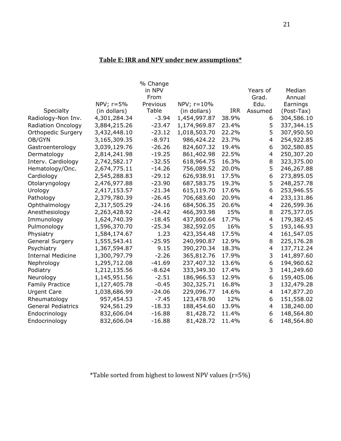### Table E: IRR and NPV under new assumptions\*

|                           | NPV; $r=5%$  | % Change<br>in NPV<br>From<br>Previous | NPV; r=10%   |            | Years of<br>Grad.<br>Edu. | Median<br>Annual<br>Earnings |
|---------------------------|--------------|----------------------------------------|--------------|------------|---------------------------|------------------------------|
| Specialty                 | (in dollars) | Table                                  | (in dollars) | <b>IRR</b> | Assumed                   | (Post-Tax)                   |
| Radiology-Non Inv.        | 4,301,284.34 | $-3.94$                                | 1,454,997.87 | 38.9%      | 6                         | 304,586.10                   |
| <b>Radiation Oncology</b> | 3,884,215.26 | $-23.47$                               | 1,174,969.87 | 23.4%      | 5                         | 337,344.15                   |
| <b>Orthopedic Surgery</b> | 3,432,448.10 | $-23.12$                               | 1,018,503.70 | 22.2%      | 5                         | 307,950.50                   |
| OB/GYN                    | 3,165,309.35 | $-8.971$                               | 986,424.22   | 23.7%      | $\overline{4}$            | 254,922.85                   |
| Gastroenterology          | 3,039,129.76 | $-26.26$                               | 824,607.32   | 19.4%      | 6                         | 302,580.85                   |
| Dermatology               | 2,814,241.98 | $-19.25$                               | 861,402.98   | 22.5%      | $\overline{4}$            | 250,307.20                   |
| Interv. Cardiology        | 2,742,582.17 | $-32.55$                               | 618,964.75   | 16.3%      | 8                         | 323,375.00                   |
| Hematology/Onc.           | 2,674,775.11 | $-14.26$                               | 756,089.52   | 20.0%      | 5                         | 246,267.88                   |
| Cardiology                | 2,545,288.83 | $-29.12$                               | 626,938.91   | 17.5%      | 6                         | 273,895.05                   |
| Otolaryngology            | 2,476,977.88 | $-23.90$                               | 687,583.75   | 19.3%      | 5                         | 248,257.78                   |
| Urology                   | 2,417,153.57 | $-21.34$                               | 615,119.70   | 17.6%      | 6                         | 253,946.55                   |
| Pathology                 | 2,379,780.39 | $-26.45$                               | 706,683.60   | 20.9%      | $\overline{4}$            | 233,131.86                   |
| Ophthalmology             | 2,317,505.29 | $-24.16$                               | 684,506.35   | 20.6%      | 4                         | 226,599.36                   |
| Anesthesiology            | 2,263,428.92 | $-24.42$                               | 466,393.98   | 15%        | 8                         | 275,377.05                   |
| Immunology                | 1,624,740.39 | $-18.45$                               | 437,800.64   | 17.7%      | $\overline{4}$            | 179,382.45                   |
| Pulmonology               | 1,596,370.70 | $-25.34$                               | 382,592.05   | 16%        | 5                         | 193,146.93                   |
| Physiatry                 | 1,584,174.67 | 1.23                                   | 423,354.48   | 17.5%      | $\overline{4}$            | 161,547.05                   |
| <b>General Surgery</b>    | 1,555,543.41 | $-25.95$                               | 240,990.87   | 12.9%      | 8                         | 225,176.28                   |
| Psychiatry                | 1,367,594.87 | 9.15                                   | 390,270.34   | 18.3%      | $\overline{4}$            | 137,712.24                   |
| <b>Internal Medicine</b>  | 1,300,797.79 | $-2.26$                                | 365,812.76   | 17.9%      | 3                         | 141,897.60                   |
| Nephrology                | 1,295,712.08 | $-41.69$                               | 237,407.32   | 13.6%      | 6                         | 194,960.62                   |
| Podiatry                  | 1,212,135.56 | $-8.624$                               | 333,349.30   | 17.4%      | 3                         | 141,249.60                   |
| Neurology                 | 1,145,951.56 | $-2.51$                                | 186,966.53   | 12.9%      | 6                         | 159,405.06                   |
| <b>Family Practice</b>    | 1,127,405.78 | $-0.45$                                | 302,325.71   | 16.8%      | 3                         | 132,479.28                   |
| <b>Urgent Care</b>        | 1,038,686.99 | $-24.06$                               | 229,096.77   | 14.6%      | $\overline{4}$            | 147,877.20                   |
| Rheumatology              | 957,454.53   | $-7.45$                                | 123,478.90   | 12%        | 6                         | 151,558.02                   |
| <b>General Pediatrics</b> | 924,561.29   | $-18.33$                               | 188,454.60   | 13.9%      | $\overline{4}$            | 138,240.00                   |
| Endocrinology             | 832,606.04   | $-16.88$                               | 81,428.72    | 11.4%      | 6                         | 148,564.80                   |
| Endocrinology             | 832,606.04   | $-16.88$                               | 81,428.72    | 11.4%      | 6                         | 148,564.80                   |

\*Table sorted from highest to lowest NPV values (r=5%)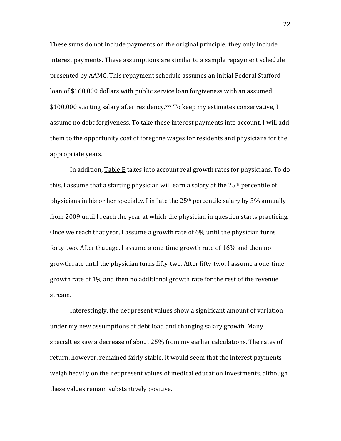These sums do not include payments on the original principle; they only include interest payments. These assumptions are similar to a sample repayment schedule presented by AAMC. This repayment schedule assumes an initial Federal Stafford loan of \$160,000 dollars with public service loan forgiveness with an assumed \$100,000 starting salary after residency.xxx To keep my estimates conservative, I assume no debt forgiveness. To take these interest payments into account, I will add them to the opportunity cost of foregone wages for residents and physicians for the appropriate years.

In addition, Table E takes into account real growth rates for physicians. To do this, I assume that a starting physician will earn a salary at the  $25<sup>th</sup>$  percentile of physicians in his or her specialty. I inflate the  $25<sup>th</sup>$  percentile salary by 3% annually from 2009 until I reach the year at which the physician in question starts practicing. Once we reach that year, I assume a growth rate of 6% until the physician turns forty-two. After that age, I assume a one-time growth rate of  $16\%$  and then no growth rate until the physician turns fifty-two. After fifty-two, I assume a one-time growth rate of 1% and then no additional growth rate for the rest of the revenue stream.

Interestingly, the net present values show a significant amount of variation under my new assumptions of debt load and changing salary growth. Many specialties saw a decrease of about 25% from my earlier calculations. The rates of return, however, remained fairly stable. It would seem that the interest payments weigh heavily on the net present values of medical education investments, although these values remain substantively positive.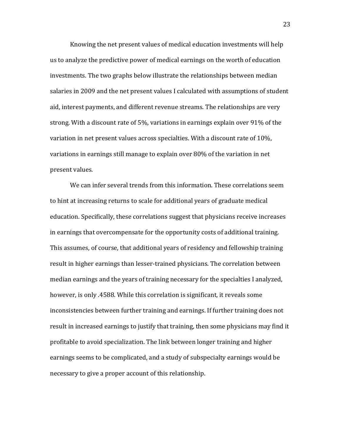Knowing the net present values of medical education investments will help us to analyze the predictive power of medical earnings on the worth of education investments. The two graphs below illustrate the relationships between median salaries in 2009 and the net present values I calculated with assumptions of student aid, interest payments, and different revenue streams. The relationships are very strong. With a discount rate of 5%, variations in earnings explain over 91% of the variation in net present values across specialties. With a discount rate of  $10\%$ . variations in earnings still manage to explain over  $80\%$  of the variation in net present values.

We can infer several trends from this information. These correlations seem to hint at increasing returns to scale for additional years of graduate medical education. Specifically, these correlations suggest that physicians receive increases in earnings that overcompensate for the opportunity costs of additional training. This assumes, of course, that additional years of residency and fellowship training result in higher earnings than lesser-trained physicians. The correlation between median earnings and the years of training necessary for the specialties I analyzed, however, is only .4588. While this correlation is significant, it reveals some inconsistencies between further training and earnings. If further training does not result in increased earnings to justify that training, then some physicians may find it profitable to avoid specialization. The link between longer training and higher earnings seems to be complicated, and a study of subspecialty earnings would be necessary to give a proper account of this relationship.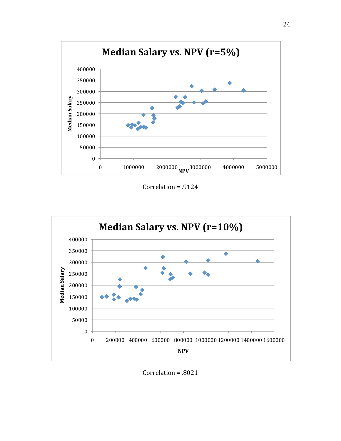

Correlation =  $.9124$ 



Correlation =  $.8021$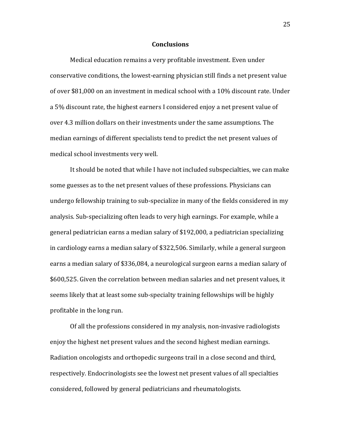#### **Conclusions**

Medical education remains a very profitable investment. Even under conservative conditions, the lowest-earning physician still finds a net present value of over \$81,000 on an investment in medical school with a 10% discount rate. Under a 5% discount rate, the highest earners I considered enjoy a net present value of over 4.3 million dollars on their investments under the same assumptions. The median earnings of different specialists tend to predict the net present values of medical school investments very well.

It should be noted that while I have not included subspecialties, we can make some guesses as to the net present values of these professions. Physicians can undergo fellowship training to sub-specialize in many of the fields considered in my analysis. Sub-specializing often leads to very high earnings. For example, while a general pediatrician earns a median salary of \$192,000, a pediatrician specializing in cardiology earns a median salary of \$322,506. Similarly, while a general surgeon earns a median salary of \$336,084, a neurological surgeon earns a median salary of \$600,525. Given the correlation between median salaries and net present values, it seems likely that at least some sub-specialty training fellowships will be highly profitable in the long run.

Of all the professions considered in my analysis, non-invasive radiologists enjoy the highest net present values and the second highest median earnings. Radiation oncologists and orthopedic surgeons trail in a close second and third, respectively. Endocrinologists see the lowest net present values of all specialties considered, followed by general pediatricians and rheumatologists.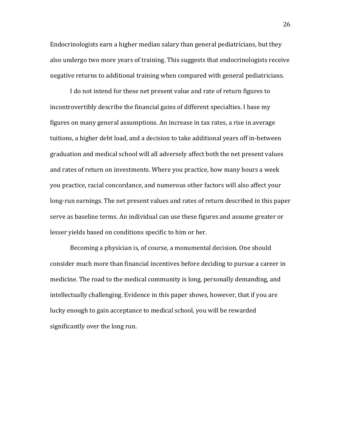Endocrinologists earn a higher median salary than general pediatricians, but they also undergo two more years of training. This suggests that endocrinologists receive negative returns to additional training when compared with general pediatricians.

I do not intend for these net present value and rate of return figures to incontrovertibly describe the financial gains of different specialties. I base my figures on many general assumptions. An increase in tax rates, a rise in average tuitions, a higher debt load, and a decision to take additional years off in-between graduation and medical school will all adversely affect both the net present values and rates of return on investments. Where you practice, how many hours a week you practice, racial concordance, and numerous other factors will also affect your long-run earnings. The net present values and rates of return described in this paper serve as baseline terms. An individual can use these figures and assume greater or lesser yields based on conditions specific to him or her.

Becoming a physician is, of course, a monumental decision. One should consider much more than financial incentives before deciding to pursue a career in medicine. The road to the medical community is long, personally demanding, and intellectually challenging. Evidence in this paper shows, however, that if you are lucky enough to gain acceptance to medical school, you will be rewarded significantly over the long run.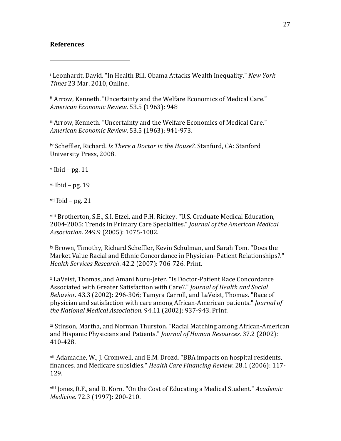#### **References**

#######################################################

<sup>i</sup> Leonhardt, David. "In Health Bill, Obama Attacks Wealth Inequality." *New York Times* 23 Mar. 2010, Online.

ii Arrow, Kenneth. "Uncertainty and the Welfare Economics of Medical Care." *American#Economic#Review*.#53.5#(1963):#948

iiiArrow, Kenneth. "Uncertainty and the Welfare Economics of Medical Care." *American#Economic#Review*.#53.5#(1963):#941F973.

<sup>iv</sup> Scheffler, Richard. *Is There a Doctor in the House?*. Stanfurd, CA: Stanford University Press, 2008.

 $v$  Ibid – pg. 11

vi Ibid – pg.  $19$ 

vii Ibid – pg.  $21$ 

viii Brotherton, S.E., S.I. Etzel, and P.H. Rickey. "U.S. Graduate Medical Education, 2004-2005: Trends in Primary Care Specialties." *Journal of the American Medical Association.* 249.9 (2005): 1075-1082.

 $i$ x Brown, Timothy, Richard Scheffler, Kevin Schulman, and Sarah Tom. "Does the Market Value Racial and Ethnic Concordance in Physician–Patient Relationships?." *Health Services Research.* 42.2 (2007): 706-726. Print.

<sup>x</sup> LaVeist, Thomas, and Amani Nuru-Jeter. "Is Doctor-Patient Race Concordance Associated with Greater Satisfaction with Care?." *Journal of Health and Social Behavior*. 43.3 (2002): 296-306; Tamyra Carroll, and LaVeist, Thomas. "Race of physician and satisfaction with care among African-American patients." *Journal of the National Medical Association.* 94.11 (2002): 937-943. Print.

<sup>xi</sup> Stinson, Martha, and Norman Thurston. "Racial Matching among African-American and Hispanic Physicians and Patients." *Journal of Human Resources*. 37.2 (2002): 410-428.

 $xii$  Adamache, W., J. Cromwell, and E.M. Drozd. "BBA impacts on hospital residents, finances, and Medicare subsidies." *Health Care Financing Review.* 28.1 (2006): 117-129.

<sup>xiii</sup> Jones, R.F., and D. Korn. "On the Cost of Educating a Medical Student." *Academic Medicine.* 72.3 (1997): 200-210.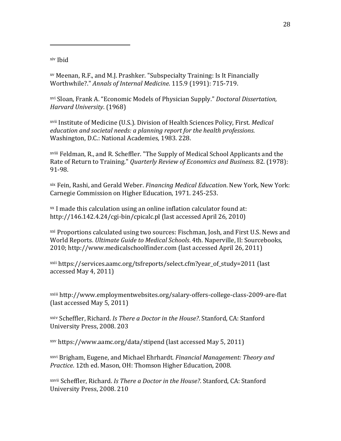xiv Ibid

#######################################################

 $xv$  Meenan, R.F., and M.J. Prashker. "Subspecialty Training: Is It Financially Worthwhile?." *Annals of Internal Medicine*. 115.9 (1991): 715-719.

xvi#Sloan,#Frank#A.#"Economic#Models#of#Physician#Supply."#*Doctoral#Dissertation,# Harvard University.* (1968)

<sup>xvii</sup> Institute of Medicine (U.S.). Division of Health Sciences Policy, First. *Medical education and societal needs: a planning report for the health professions.* Washington, D.C.: National Academies, 1983. 228.

xviii Feldman, R., and R. Scheffler. "The Supply of Medical School Applicants and the Rate of Return to Training." *Quarterly Review of Economics and Business*. 82. (1978): 91-98.

<sup>xix</sup> Fein, Rashi, and Gerald Weber. *Financing Medical Education*. New York, New York: Carnegie Commission on Higher Education, 1971. 245-253.

 $x^2$  I made this calculation using an online inflation calculator found at: http://146.142.4.24/cgi-bin/cpicalc.pl (last accessed April 26, 2010)

 $\frac{xxi}{x}$  Proportions calculated using two sources: Fischman, Josh, and First U.S. News and World Reports. *Ultimate Guide to Medical Schools*. 4th. Naperville, Il: Sourcebooks, 2010; http://www.medicalschoolfinder.com (last accessed April 26, 2011)

xxii https://services.aamc.org/tsfreports/select.cfm?year\_of\_study=2011 (last# accessed May 4, 2011)

xxiii http://www.employmentwebsites.org/salary-offers-college-class-2009-are-flat (last accessed May 5, 2011)

xxiv Scheffler, Richard. *Is There a Doctor in the House?*. Stanford, CA: Stanford University Press, 2008. 203

xxv https://www.aamc.org/data/stipend (last accessed May 5, 2011)

<sup>xxvi</sup> Brigham, Eugene, and Michael Ehrhardt. *Financial Management: Theory and Practice*. 12th ed. Mason, OH: Thomson Higher Education, 2008.

xxvii Scheffler, Richard. *Is There a Doctor in the House?*. Stanford, CA: Stanford University Press, 2008. 210